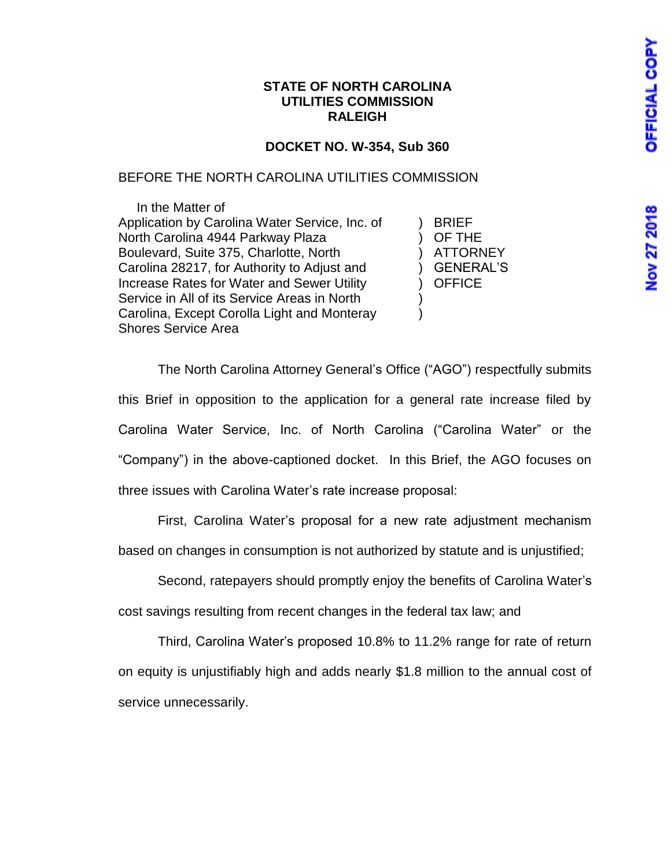#### **STATE OF NORTH CAROLINA UTILITIES COMMISSION RALEIGH**

# **DOCKET NO. W-354, Sub 360**

## BEFORE THE NORTH CAROLINA UTILITIES COMMISSION

 In the Matter of Application by Carolina Water Service, Inc. of The BRIEF North Carolina 4944 Parkway Plaza (a) OF THE Boulevard, Suite 375, Charlotte, North (a) ATTORNEY Carolina 28217, for Authority to Adjust and (i.e. ) GENERAL'S Increase Rates for Water and Sewer Utility (a) OFFICE Service in All of its Service Areas in North Carolina, Except Corolla Light and Monteray (a) Shores Service Area

The North Carolina Attorney General's Office ("AGO") respectfully submits this Brief in opposition to the application for a general rate increase filed by Carolina Water Service, Inc. of North Carolina ("Carolina Water" or the "Company") in the above-captioned docket. In this Brief, the AGO focuses on three issues with Carolina Water's rate increase proposal:

First, Carolina Water's proposal for a new rate adjustment mechanism

based on changes in consumption is not authorized by statute and is unjustified;

Second, ratepayers should promptly enjoy the benefits of Carolina Water's cost savings resulting from recent changes in the federal tax law; and

Third, Carolina Water's proposed 10.8% to 11.2% range for rate of return on equity is unjustifiably high and adds nearly \$1.8 million to the annual cost of service unnecessarily.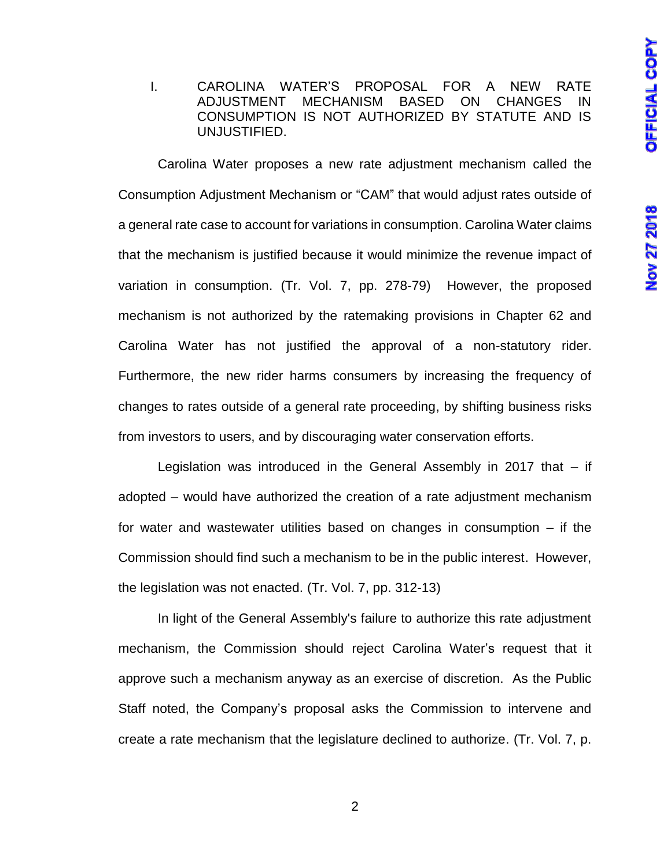### I. CAROLINA WATER'S PROPOSAL FOR A NEW RATE ADJUSTMENT MECHANISM BASED ON CHANGES IN CONSUMPTION IS NOT AUTHORIZED BY STATUTE AND IS UNJUSTIFIED.

Carolina Water proposes a new rate adjustment mechanism called the Consumption Adjustment Mechanism or "CAM" that would adjust rates outside of a general rate case to account for variations in consumption. Carolina Water claims that the mechanism is justified because it would minimize the revenue impact of variation in consumption. (Tr. Vol. 7, pp. 278-79) However, the proposed mechanism is not authorized by the ratemaking provisions in Chapter 62 and Carolina Water has not justified the approval of a non-statutory rider. Furthermore, the new rider harms consumers by increasing the frequency of changes to rates outside of a general rate proceeding, by shifting business risks from investors to users, and by discouraging water conservation efforts.

Legislation was introduced in the General Assembly in 2017 that – if adopted – would have authorized the creation of a rate adjustment mechanism for water and wastewater utilities based on changes in consumption – if the Commission should find such a mechanism to be in the public interest. However, the legislation was not enacted. (Tr. Vol. 7, pp. 312-13)

In light of the General Assembly's failure to authorize this rate adjustment mechanism, the Commission should reject Carolina Water's request that it approve such a mechanism anyway as an exercise of discretion. As the Public Staff noted, the Company's proposal asks the Commission to intervene and create a rate mechanism that the legislature declined to authorize. (Tr. Vol. 7, p.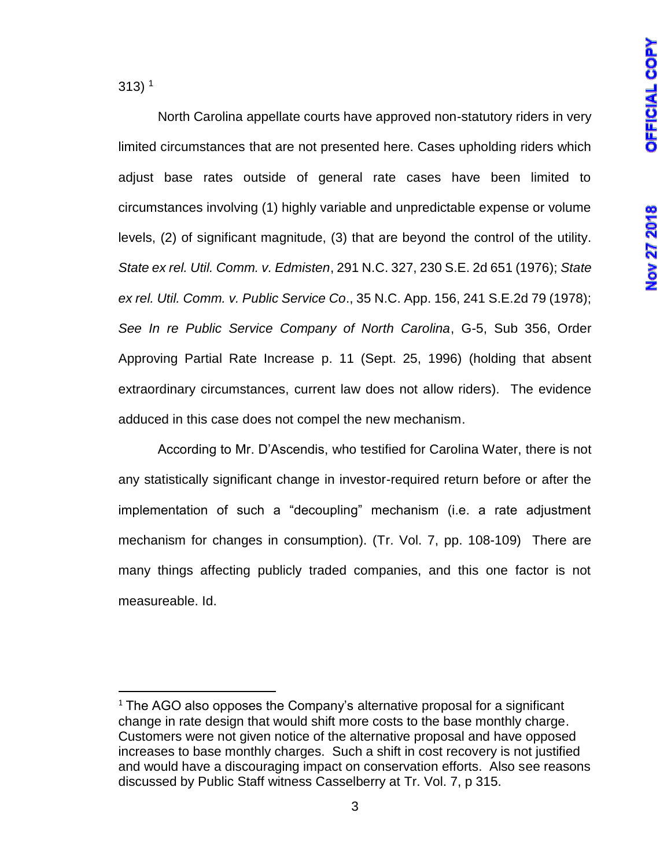313) 1

l

North Carolina appellate courts have approved non-statutory riders in very limited circumstances that are not presented here. Cases upholding riders which adjust base rates outside of general rate cases have been limited to circumstances involving (1) highly variable and unpredictable expense or volume levels, (2) of significant magnitude, (3) that are beyond the control of the utility. *State ex rel. Util. Comm. v. Edmisten*, 291 N.C. 327, 230 S.E. 2d 651 (1976); *State ex rel. Util. Comm. v. Public Service Co*., 35 N.C. App. 156, 241 S.E.2d 79 (1978); *See In re Public Service Company of North Carolina*, G-5, Sub 356, Order Approving Partial Rate Increase p. 11 (Sept. 25, 1996) (holding that absent extraordinary circumstances, current law does not allow riders). The evidence adduced in this case does not compel the new mechanism.

According to Mr. D'Ascendis, who testified for Carolina Water, there is not any statistically significant change in investor-required return before or after the implementation of such a "decoupling" mechanism (i.e. a rate adjustment mechanism for changes in consumption). (Tr. Vol. 7, pp. 108-109) There are many things affecting publicly traded companies, and this one factor is not measureable. Id.

<sup>1</sup> The AGO also opposes the Company's alternative proposal for a significant change in rate design that would shift more costs to the base monthly charge. Customers were not given notice of the alternative proposal and have opposed increases to base monthly charges. Such a shift in cost recovery is not justified and would have a discouraging impact on conservation efforts. Also see reasons discussed by Public Staff witness Casselberry at Tr. Vol. 7, p 315.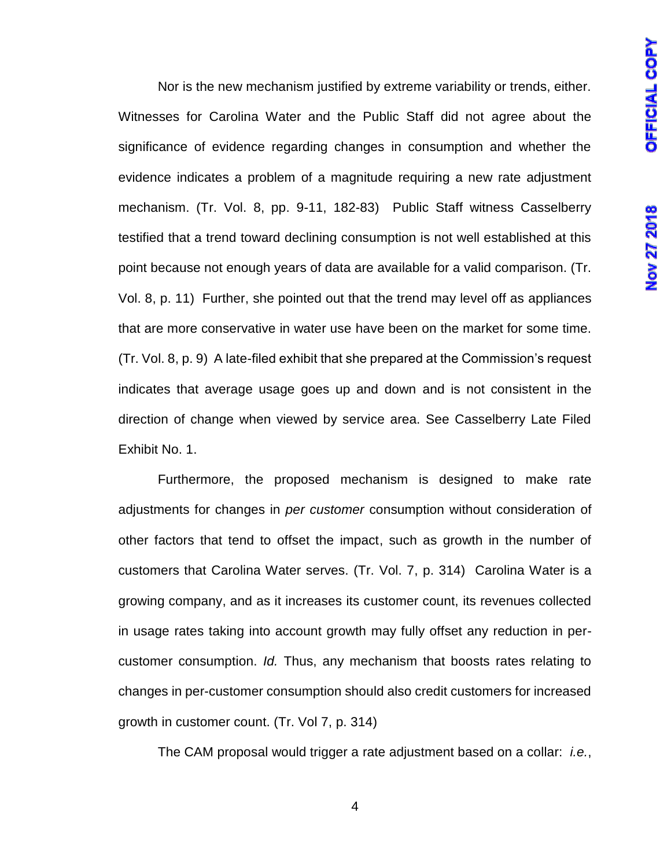Nor is the new mechanism justified by extreme variability or trends, either. Witnesses for Carolina Water and the Public Staff did not agree about the significance of evidence regarding changes in consumption and whether the evidence indicates a problem of a magnitude requiring a new rate adjustment mechanism. (Tr. Vol. 8, pp. 9-11, 182-83) Public Staff witness Casselberry testified that a trend toward declining consumption is not well established at this point because not enough years of data are available for a valid comparison. (Tr. Vol. 8, p. 11) Further, she pointed out that the trend may level off as appliances that are more conservative in water use have been on the market for some time. (Tr. Vol. 8, p. 9) A late-filed exhibit that she prepared at the Commission's request indicates that average usage goes up and down and is not consistent in the direction of change when viewed by service area. See Casselberry Late Filed Exhibit No. 1.

Furthermore, the proposed mechanism is designed to make rate adjustments for changes in *per customer* consumption without consideration of other factors that tend to offset the impact, such as growth in the number of customers that Carolina Water serves. (Tr. Vol. 7, p. 314) Carolina Water is a growing company, and as it increases its customer count, its revenues collected in usage rates taking into account growth may fully offset any reduction in percustomer consumption. *Id.* Thus, any mechanism that boosts rates relating to changes in per-customer consumption should also credit customers for increased growth in customer count. (Tr. Vol 7, p. 314)

The CAM proposal would trigger a rate adjustment based on a collar: *i.e.*,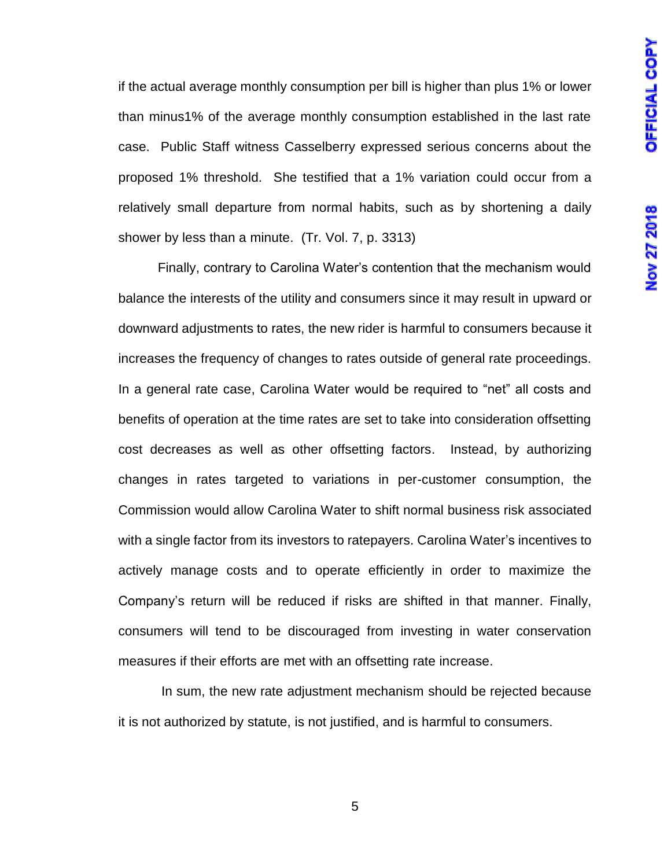if the actual average monthly consumption per bill is higher than plus 1% or lower than minus1% of the average monthly consumption established in the last rate case. Public Staff witness Casselberry expressed serious concerns about the proposed 1% threshold. She testified that a 1% variation could occur from a relatively small departure from normal habits, such as by shortening a daily shower by less than a minute. (Tr. Vol. 7, p. 3313)

Finally, contrary to Carolina Water's contention that the mechanism would balance the interests of the utility and consumers since it may result in upward or downward adjustments to rates, the new rider is harmful to consumers because it increases the frequency of changes to rates outside of general rate proceedings. In a general rate case, Carolina Water would be required to "net" all costs and benefits of operation at the time rates are set to take into consideration offsetting cost decreases as well as other offsetting factors. Instead, by authorizing changes in rates targeted to variations in per-customer consumption, the Commission would allow Carolina Water to shift normal business risk associated with a single factor from its investors to ratepayers. Carolina Water's incentives to actively manage costs and to operate efficiently in order to maximize the Company's return will be reduced if risks are shifted in that manner. Finally, consumers will tend to be discouraged from investing in water conservation measures if their efforts are met with an offsetting rate increase.

In sum, the new rate adjustment mechanism should be rejected because it is not authorized by statute, is not justified, and is harmful to consumers.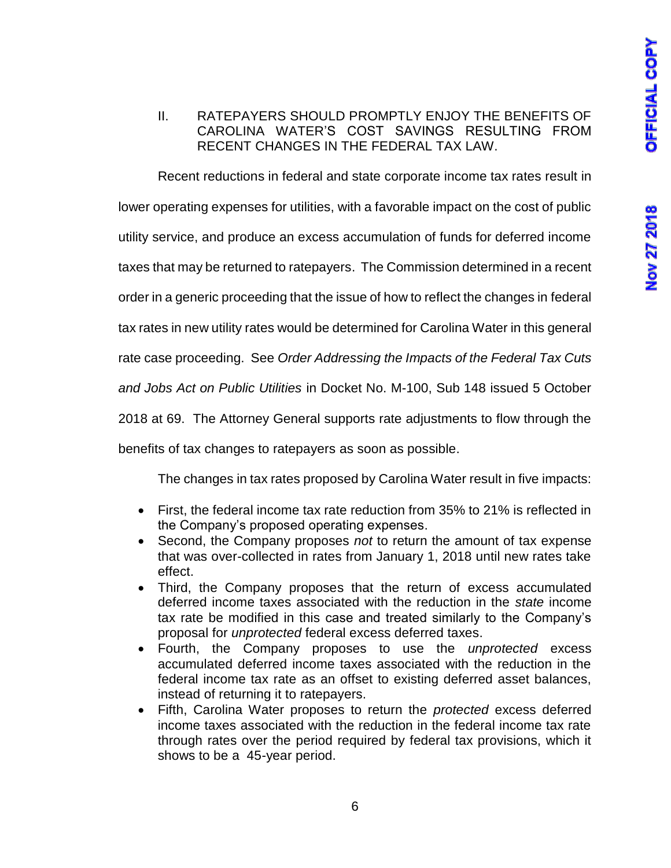# II. RATEPAYERS SHOULD PROMPTLY ENJOY THE BENEFITS OF CAROLINA WATER'S COST SAVINGS RESULTING FROM RECENT CHANGES IN THE FEDERAL TAX LAW.

Recent reductions in federal and state corporate income tax rates result in lower operating expenses for utilities, with a favorable impact on the cost of public utility service, and produce an excess accumulation of funds for deferred income taxes that may be returned to ratepayers. The Commission determined in a recent order in a generic proceeding that the issue of how to reflect the changes in federal tax rates in new utility rates would be determined for Carolina Water in this general rate case proceeding. See *Order Addressing the Impacts of the Federal Tax Cuts and Jobs Act on Public Utilities* in Docket No. M-100, Sub 148 issued 5 October 2018 at 69. The Attorney General supports rate adjustments to flow through the benefits of tax changes to ratepayers as soon as possible.

The changes in tax rates proposed by Carolina Water result in five impacts:

- First, the federal income tax rate reduction from 35% to 21% is reflected in the Company's proposed operating expenses.
- Second, the Company proposes *not* to return the amount of tax expense that was over-collected in rates from January 1, 2018 until new rates take effect.
- Third, the Company proposes that the return of excess accumulated deferred income taxes associated with the reduction in the *state* income tax rate be modified in this case and treated similarly to the Company's proposal for *unprotected* federal excess deferred taxes.
- Fourth, the Company proposes to use the *unprotected* excess accumulated deferred income taxes associated with the reduction in the federal income tax rate as an offset to existing deferred asset balances, instead of returning it to ratepayers.
- Fifth, Carolina Water proposes to return the *protected* excess deferred income taxes associated with the reduction in the federal income tax rate through rates over the period required by federal tax provisions, which it shows to be a 45-year period.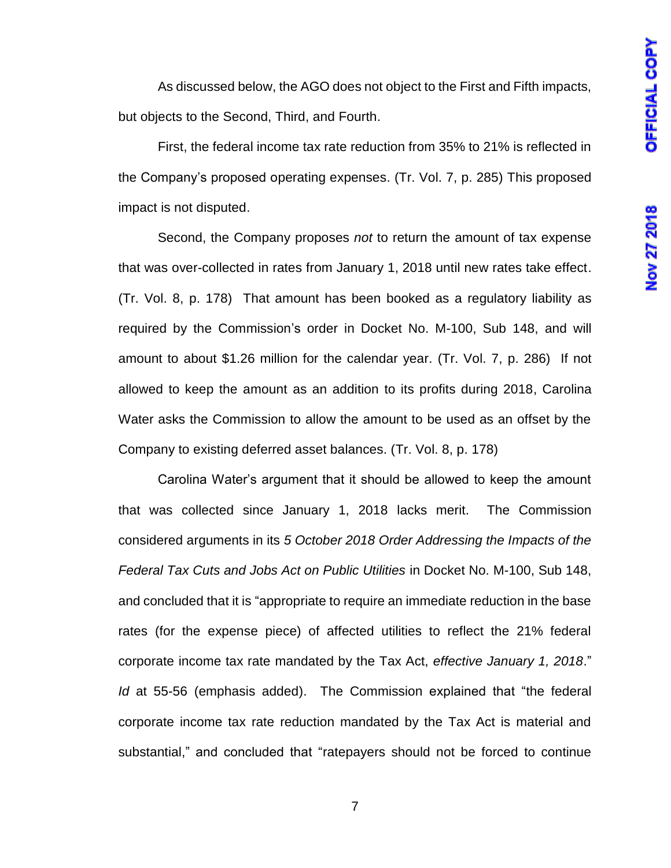As discussed below, the AGO does not object to the First and Fifth impacts, but objects to the Second, Third, and Fourth.

First, the federal income tax rate reduction from 35% to 21% is reflected in the Company's proposed operating expenses. (Tr. Vol. 7, p. 285) This proposed impact is not disputed.

Second, the Company proposes *not* to return the amount of tax expense that was over-collected in rates from January 1, 2018 until new rates take effect. (Tr. Vol. 8, p. 178) That amount has been booked as a regulatory liability as required by the Commission's order in Docket No. M-100, Sub 148, and will amount to about \$1.26 million for the calendar year. (Tr. Vol. 7, p. 286) If not allowed to keep the amount as an addition to its profits during 2018, Carolina Water asks the Commission to allow the amount to be used as an offset by the Company to existing deferred asset balances. (Tr. Vol. 8, p. 178)

Carolina Water's argument that it should be allowed to keep the amount that was collected since January 1, 2018 lacks merit. The Commission considered arguments in its *5 October 2018 Order Addressing the Impacts of the Federal Tax Cuts and Jobs Act on Public Utilities* in Docket No. M-100, Sub 148, and concluded that it is "appropriate to require an immediate reduction in the base rates (for the expense piece) of affected utilities to reflect the 21% federal corporate income tax rate mandated by the Tax Act, *effective January 1, 2018*." *Id* at 55-56 (emphasis added). The Commission explained that "the federal corporate income tax rate reduction mandated by the Tax Act is material and substantial," and concluded that "ratepayers should not be forced to continue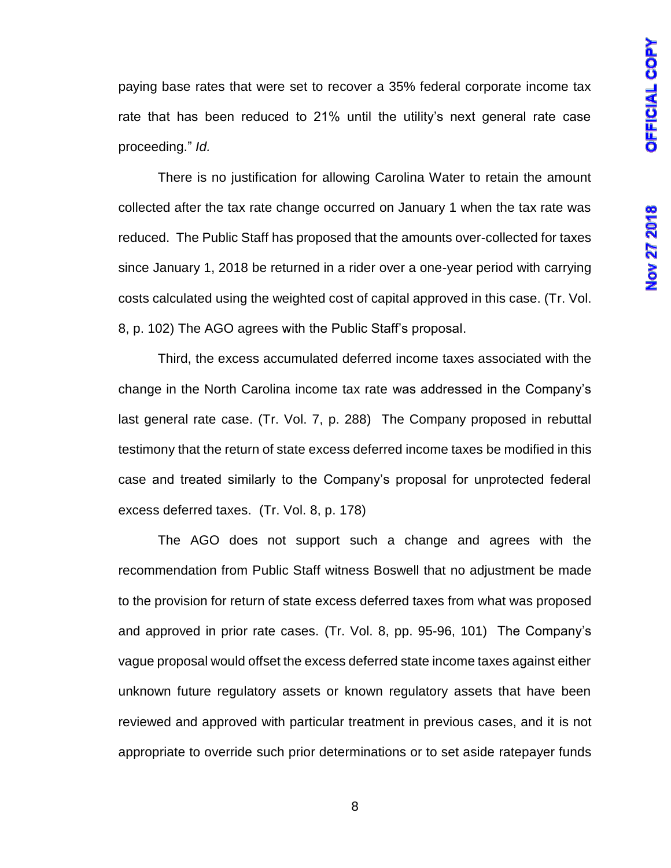paying base rates that were set to recover a 35% federal corporate income tax rate that has been reduced to 21% until the utility's next general rate case proceeding." *Id.* 

There is no justification for allowing Carolina Water to retain the amount collected after the tax rate change occurred on January 1 when the tax rate was reduced. The Public Staff has proposed that the amounts over-collected for taxes since January 1, 2018 be returned in a rider over a one-year period with carrying costs calculated using the weighted cost of capital approved in this case. (Tr. Vol. 8, p. 102) The AGO agrees with the Public Staff's proposal.

Third, the excess accumulated deferred income taxes associated with the change in the North Carolina income tax rate was addressed in the Company's last general rate case. (Tr. Vol. 7, p. 288) The Company proposed in rebuttal testimony that the return of state excess deferred income taxes be modified in this case and treated similarly to the Company's proposal for unprotected federal excess deferred taxes. (Tr. Vol. 8, p. 178)

The AGO does not support such a change and agrees with the recommendation from Public Staff witness Boswell that no adjustment be made to the provision for return of state excess deferred taxes from what was proposed and approved in prior rate cases. (Tr. Vol. 8, pp. 95-96, 101) The Company's vague proposal would offset the excess deferred state income taxes against either unknown future regulatory assets or known regulatory assets that have been reviewed and approved with particular treatment in previous cases, and it is not appropriate to override such prior determinations or to set aside ratepayer funds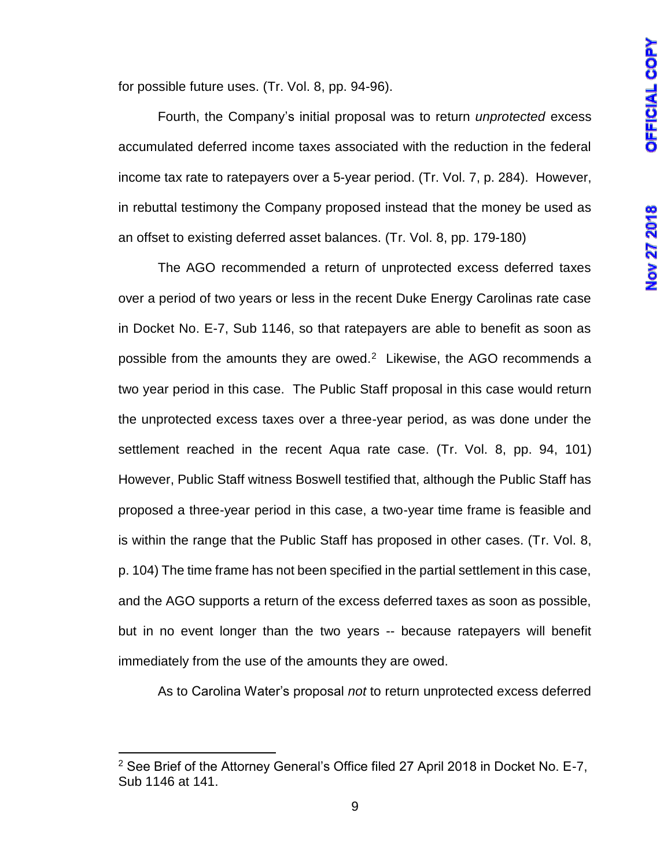for possible future uses. (Tr. Vol. 8, pp. 94-96).

Fourth, the Company's initial proposal was to return *unprotected* excess accumulated deferred income taxes associated with the reduction in the federal income tax rate to ratepayers over a 5-year period. (Tr. Vol. 7, p. 284). However, in rebuttal testimony the Company proposed instead that the money be used as an offset to existing deferred asset balances. (Tr. Vol. 8, pp. 179-180)

The AGO recommended a return of unprotected excess deferred taxes over a period of two years or less in the recent Duke Energy Carolinas rate case in Docket No. E-7, Sub 1146, so that ratepayers are able to benefit as soon as possible from the amounts they are owed.<sup>2</sup> Likewise, the AGO recommends a two year period in this case. The Public Staff proposal in this case would return the unprotected excess taxes over a three-year period, as was done under the settlement reached in the recent Aqua rate case. (Tr. Vol. 8, pp. 94, 101) However, Public Staff witness Boswell testified that, although the Public Staff has proposed a three-year period in this case, a two-year time frame is feasible and is within the range that the Public Staff has proposed in other cases. (Tr. Vol. 8, p. 104) The time frame has not been specified in the partial settlement in this case, and the AGO supports a return of the excess deferred taxes as soon as possible, but in no event longer than the two years -- because ratepayers will benefit immediately from the use of the amounts they are owed.

As to Carolina Water's proposal *not* to return unprotected excess deferred

 $\overline{\phantom{a}}$ 

<sup>&</sup>lt;sup>2</sup> See Brief of the Attorney General's Office filed 27 April 2018 in Docket No. E-7, Sub 1146 at 141.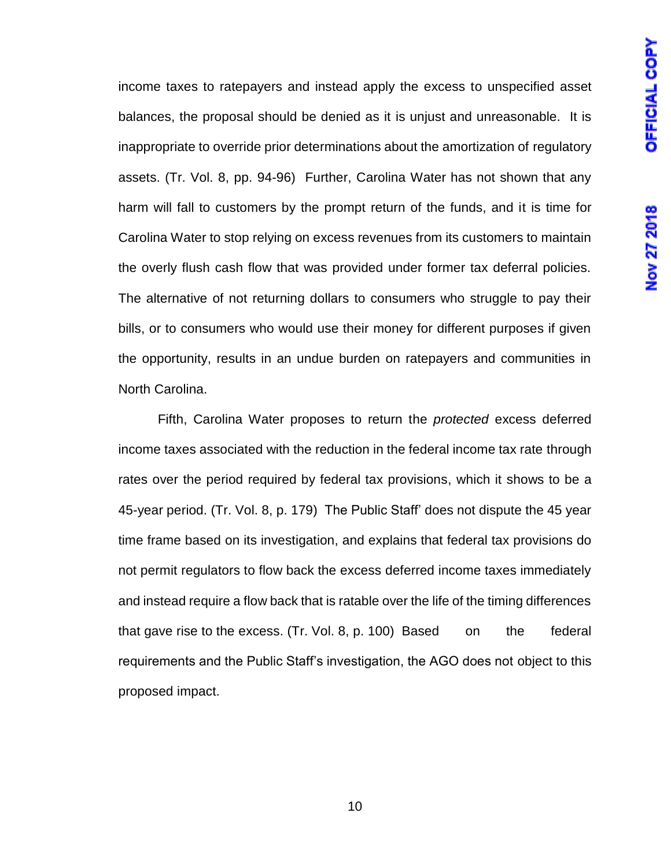income taxes to ratepayers and instead apply the excess to unspecified asset balances, the proposal should be denied as it is unjust and unreasonable. It is inappropriate to override prior determinations about the amortization of regulatory assets. (Tr. Vol. 8, pp. 94-96) Further, Carolina Water has not shown that any harm will fall to customers by the prompt return of the funds, and it is time for Carolina Water to stop relying on excess revenues from its customers to maintain the overly flush cash flow that was provided under former tax deferral policies. The alternative of not returning dollars to consumers who struggle to pay their bills, or to consumers who would use their money for different purposes if given the opportunity, results in an undue burden on ratepayers and communities in North Carolina.

Fifth, Carolina Water proposes to return the *protected* excess deferred income taxes associated with the reduction in the federal income tax rate through rates over the period required by federal tax provisions, which it shows to be a 45-year period. (Tr. Vol. 8, p. 179) The Public Staff' does not dispute the 45 year time frame based on its investigation, and explains that federal tax provisions do not permit regulators to flow back the excess deferred income taxes immediately and instead require a flow back that is ratable over the life of the timing differences that gave rise to the excess. (Tr. Vol. 8, p. 100) Based on the federal requirements and the Public Staff's investigation, the AGO does not object to this proposed impact.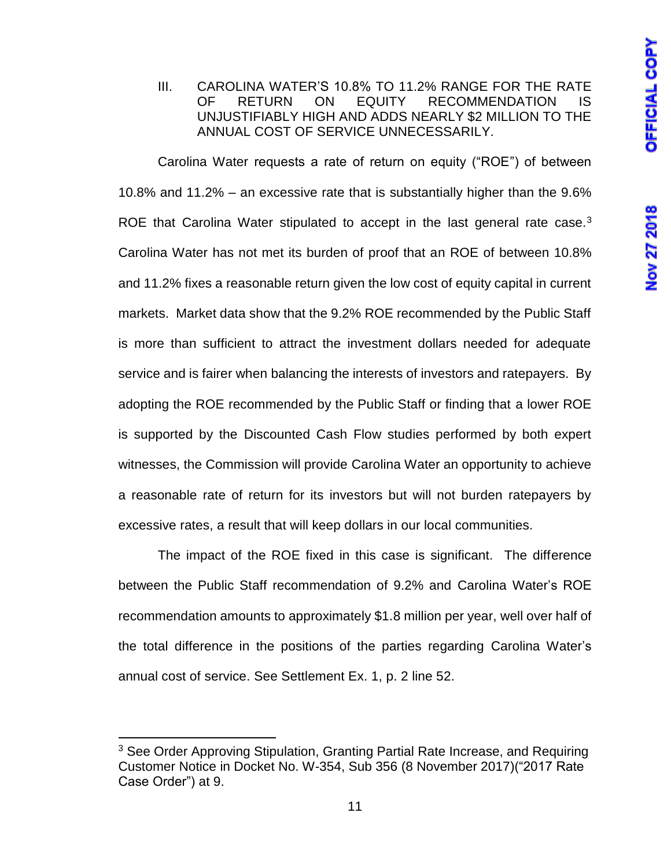#### III. CAROLINA WATER'S 10.8% TO 11.2% RANGE FOR THE RATE OF RETURN ON EQUITY RECOMMENDATION IS UNJUSTIFIABLY HIGH AND ADDS NEARLY \$2 MILLION TO THE ANNUAL COST OF SERVICE UNNECESSARILY.

Carolina Water requests a rate of return on equity ("ROE") of between 10.8% and 11.2% – an excessive rate that is substantially higher than the 9.6% ROE that Carolina Water stipulated to accept in the last general rate case.<sup>3</sup> Carolina Water has not met its burden of proof that an ROE of between 10.8% and 11.2% fixes a reasonable return given the low cost of equity capital in current markets. Market data show that the 9.2% ROE recommended by the Public Staff is more than sufficient to attract the investment dollars needed for adequate service and is fairer when balancing the interests of investors and ratepayers. By adopting the ROE recommended by the Public Staff or finding that a lower ROE is supported by the Discounted Cash Flow studies performed by both expert witnesses, the Commission will provide Carolina Water an opportunity to achieve a reasonable rate of return for its investors but will not burden ratepayers by excessive rates, a result that will keep dollars in our local communities.

The impact of the ROE fixed in this case is significant. The difference between the Public Staff recommendation of 9.2% and Carolina Water's ROE recommendation amounts to approximately \$1.8 million per year, well over half of the total difference in the positions of the parties regarding Carolina Water's annual cost of service. See Settlement Ex. 1, p. 2 line 52.

 $\overline{\phantom{a}}$ 

<sup>&</sup>lt;sup>3</sup> See Order Approving Stipulation, Granting Partial Rate Increase, and Requiring Customer Notice in Docket No. W-354, Sub 356 (8 November 2017)("2017 Rate Case Order") at 9.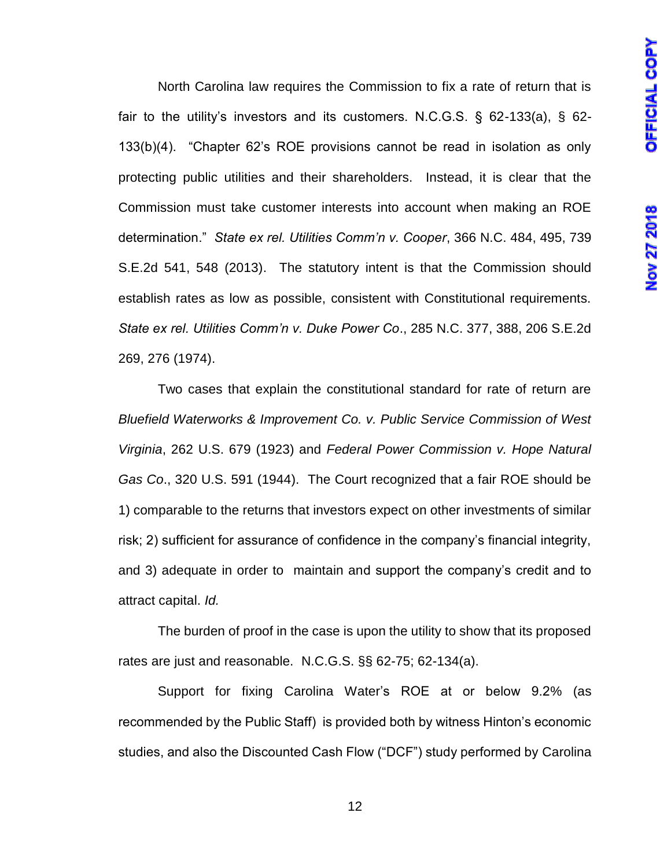North Carolina law requires the Commission to fix a rate of return that is fair to the utility's investors and its customers. N.C.G.S. § 62-133(a), § 62- 133(b)(4). "Chapter 62's ROE provisions cannot be read in isolation as only protecting public utilities and their shareholders. Instead, it is clear that the Commission must take customer interests into account when making an ROE determination." *State ex rel. Utilities Comm'n v. Cooper*, 366 N.C. 484, 495, 739 S.E.2d 541, 548 (2013). The statutory intent is that the Commission should establish rates as low as possible, consistent with Constitutional requirements. *State ex rel. Utilities Comm'n v. Duke Power Co*., 285 N.C. 377, 388, 206 S.E.2d 269, 276 (1974).

Two cases that explain the constitutional standard for rate of return are *Bluefield Waterworks & Improvement Co. v. Public Service Commission of West Virginia*, 262 U.S. 679 (1923) and *Federal Power Commission v. Hope Natural Gas Co*., 320 U.S. 591 (1944). The Court recognized that a fair ROE should be 1) comparable to the returns that investors expect on other investments of similar risk; 2) sufficient for assurance of confidence in the company's financial integrity, and 3) adequate in order to maintain and support the company's credit and to attract capital. *Id.*

The burden of proof in the case is upon the utility to show that its proposed rates are just and reasonable. N.C.G.S. §§ 62-75; 62-134(a).

Support for fixing Carolina Water's ROE at or below 9.2% (as recommended by the Public Staff) is provided both by witness Hinton's economic studies, and also the Discounted Cash Flow ("DCF") study performed by Carolina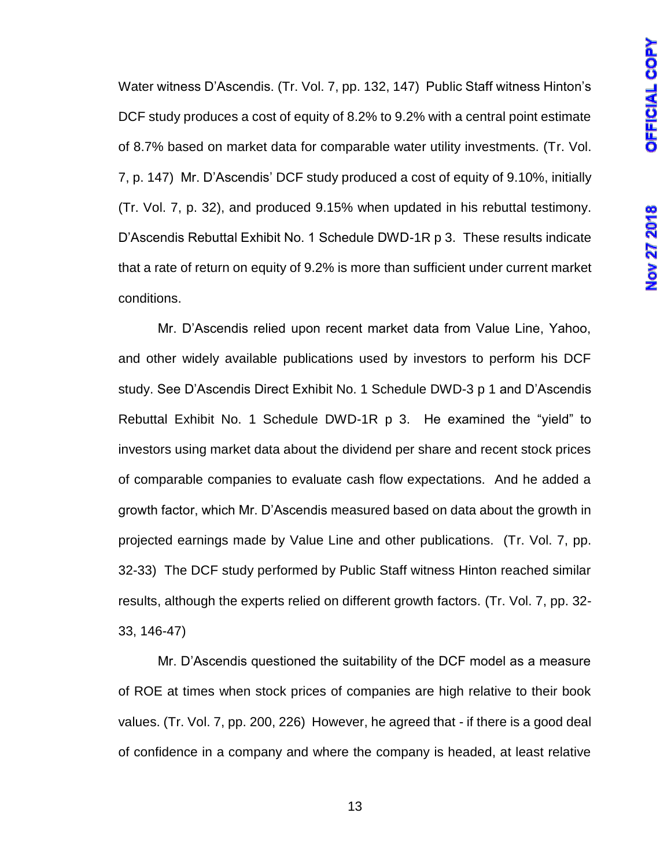Water witness D'Ascendis. (Tr. Vol. 7, pp. 132, 147) Public Staff witness Hinton's DCF study produces a cost of equity of 8.2% to 9.2% with a central point estimate of 8.7% based on market data for comparable water utility investments. (Tr. Vol. 7, p. 147) Mr. D'Ascendis' DCF study produced a cost of equity of 9.10%, initially (Tr. Vol. 7, p. 32), and produced 9.15% when updated in his rebuttal testimony. D'Ascendis Rebuttal Exhibit No. 1 Schedule DWD-1R p 3. These results indicate that a rate of return on equity of 9.2% is more than sufficient under current market conditions.

Mr. D'Ascendis relied upon recent market data from Value Line, Yahoo, and other widely available publications used by investors to perform his DCF study. See D'Ascendis Direct Exhibit No. 1 Schedule DWD-3 p 1 and D'Ascendis Rebuttal Exhibit No. 1 Schedule DWD-1R p 3. He examined the "yield" to investors using market data about the dividend per share and recent stock prices of comparable companies to evaluate cash flow expectations. And he added a growth factor, which Mr. D'Ascendis measured based on data about the growth in projected earnings made by Value Line and other publications. (Tr. Vol. 7, pp. 32-33) The DCF study performed by Public Staff witness Hinton reached similar results, although the experts relied on different growth factors. (Tr. Vol. 7, pp. 32- 33, 146-47)

Mr. D'Ascendis questioned the suitability of the DCF model as a measure of ROE at times when stock prices of companies are high relative to their book values. (Tr. Vol. 7, pp. 200, 226) However, he agreed that - if there is a good deal of confidence in a company and where the company is headed, at least relative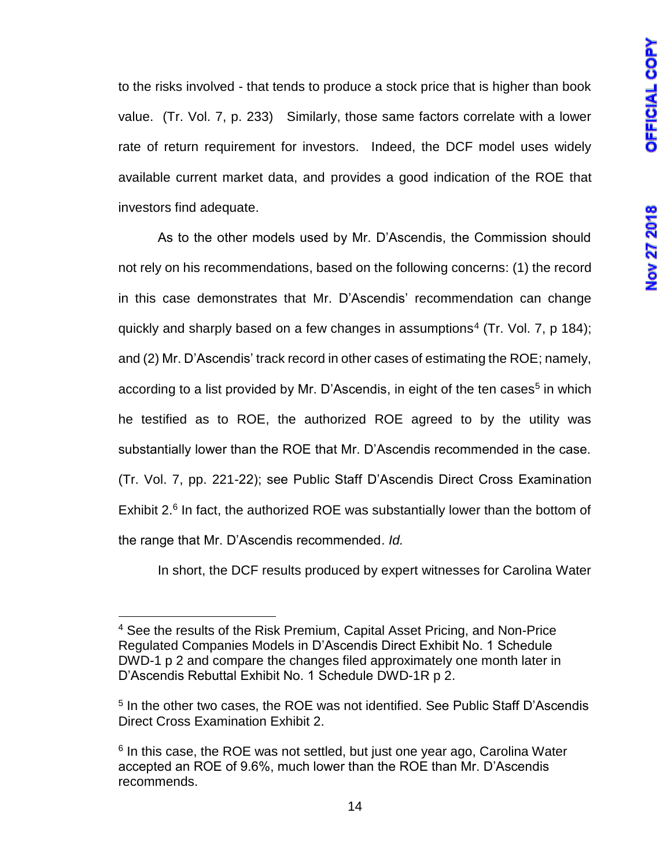to the risks involved - that tends to produce a stock price that is higher than book value. (Tr. Vol. 7, p. 233) Similarly, those same factors correlate with a lower rate of return requirement for investors. Indeed, the DCF model uses widely available current market data, and provides a good indication of the ROE that investors find adequate.

As to the other models used by Mr. D'Ascendis, the Commission should not rely on his recommendations, based on the following concerns: (1) the record in this case demonstrates that Mr. D'Ascendis' recommendation can change quickly and sharply based on a few changes in assumptions<sup>4</sup> (Tr. Vol. 7, p 184); and (2) Mr. D'Ascendis' track record in other cases of estimating the ROE; namely, according to a list provided by Mr. D'Ascendis, in eight of the ten cases<sup>5</sup> in which he testified as to ROE, the authorized ROE agreed to by the utility was substantially lower than the ROE that Mr. D'Ascendis recommended in the case. (Tr. Vol. 7, pp. 221-22); see Public Staff D'Ascendis Direct Cross Examination Exhibit 2.<sup>6</sup> In fact, the authorized ROE was substantially lower than the bottom of the range that Mr. D'Ascendis recommended. *Id.*

In short, the DCF results produced by expert witnesses for Carolina Water

l <sup>4</sup> See the results of the Risk Premium, Capital Asset Pricing, and Non-Price Regulated Companies Models in D'Ascendis Direct Exhibit No. 1 Schedule DWD-1 p 2 and compare the changes filed approximately one month later in D'Ascendis Rebuttal Exhibit No. 1 Schedule DWD-1R p 2.

<sup>&</sup>lt;sup>5</sup> In the other two cases, the ROE was not identified. See Public Staff D'Ascendis Direct Cross Examination Exhibit 2.

<sup>&</sup>lt;sup>6</sup> In this case, the ROE was not settled, but just one year ago, Carolina Water accepted an ROE of 9.6%, much lower than the ROE than Mr. D'Ascendis recommends.